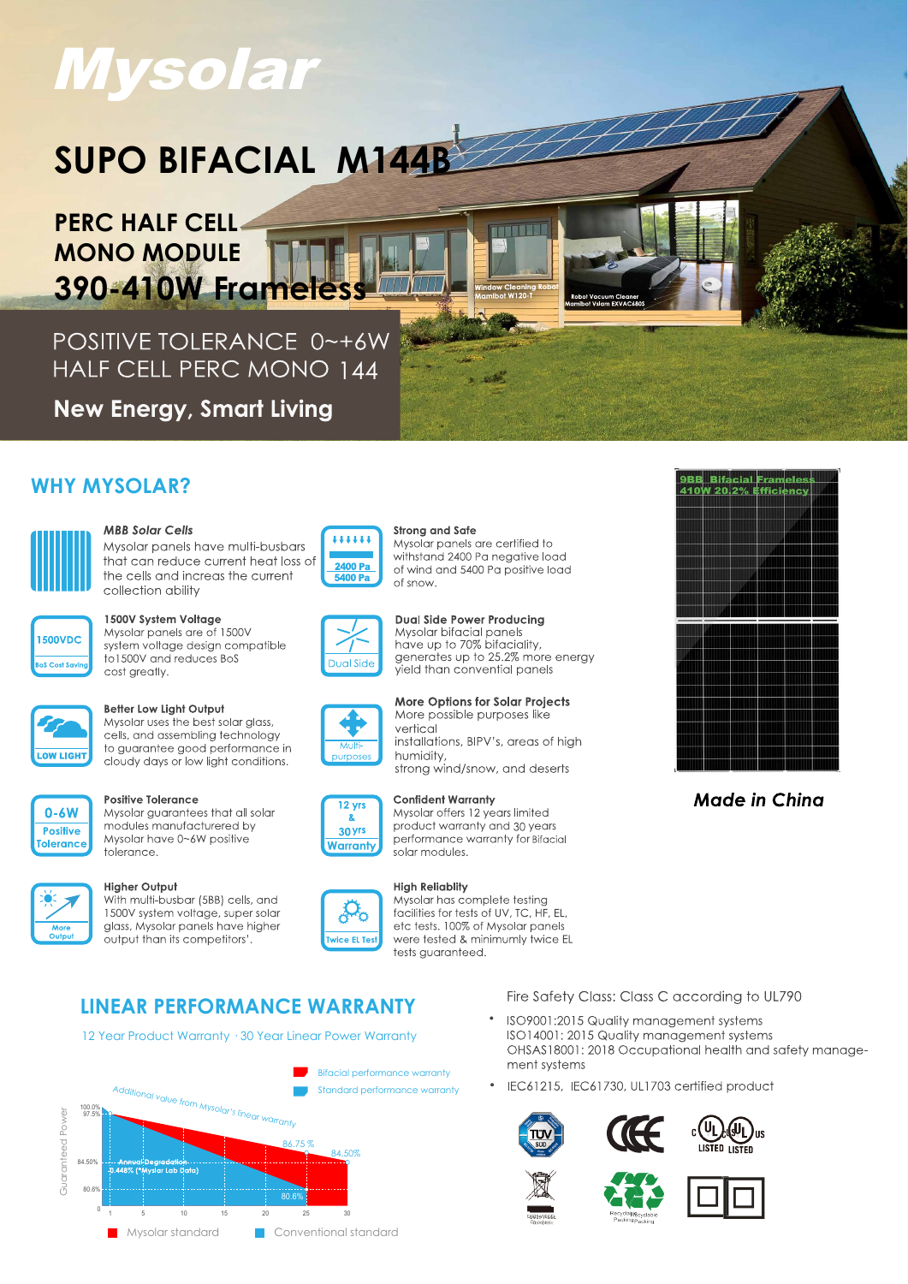# **Mysolar**

# SUPO BIFACIAL M144B

**PERC HALF CELL-MONO MODULE** 390-410W Frame

POSITIVE TOLERANCE 0~+6W HALF CELL PERC MONO 144

**New Energy, Smart Living** 

# **WHY MYSOLAR?**



# **MBB Solar Cells**

Mysolar panels have multi-busbars that can reduce current heat loss of the cells and increas the current collection ability



# 1500V System Voltage

Mysolar panels are of 1500V system voltage design compatible to 1500V and reduces BoS cost greatly.



### Better Low Light Output

Mysolar uses the best solar glass, cells, and assembling technology to guarantee good performance in cloudy days or low light conditions.



#### **Positive Tolerance**

Mysolar quarantees that all solar modules manufacturered by Mysolar have 0~6W positive tolerance.

#### **Higher Output**

With multi-busbar (5BB) cells, and 1500V system voltage, super solar glass, Mysolar panels have higher output than its competitors'



#### **Strong and Safe** Mysolar panels are certified to withstand 2400 Pa negative load of wind and 5400 Pa positive load of snow

i a n'i Bise



**Dual Side Power Producing** Mysolar bifacial panels<br>have up to 70% bifaciality,<br>generates up to 25.2% more energy yield than convential panels

**More Options for Solar Projects** 

installations, BIPV's, areas of high

More possible purposes like

vertical

humidity,

solar modules.





# **Confident Warranty**



#### Mysolar offers 12 years limited product warranty and 30 years



**High Reliablity** Mysolar has complete testing facilities for tests of UV. TC. HF. EL. etc tests. 100% of Mysolar panels were tested & minimumly twice EL tests quaranteed.

# **LINEAR PERFORMANCE WARRANTY**

12 Year Product Warranty . 30 Year Linear Power Warranty



Fire Safety Class: Class C according to UL790

- ISO9001:2015 Quality management systems ISO14001: 2015 Quality management systems OHSAS18001: 2018 Occupational health and safety management systems
- IEC61215, IEC61730, UL1703 certified product











**9BB** Bifacial Frameles<br>410W 20.2% Efficiency